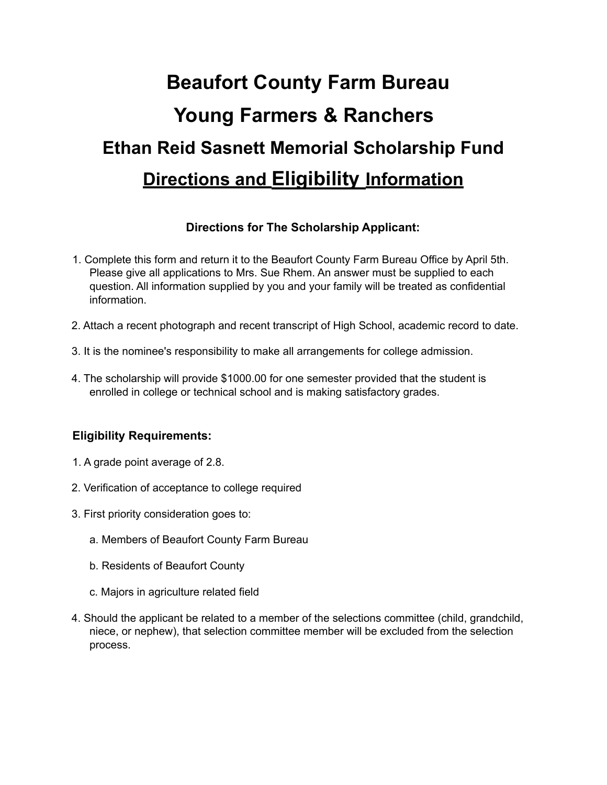# **Beaufort County Farm Bureau Young Farmers & Ranchers Ethan Reid Sasnett Memorial Scholarship Fund Directions and Eligibility Information**

#### **Directions for The Scholarship Applicant:**

- 1. Complete this form and return it to the Beaufort County Farm Bureau Office by April 5th. Please give all applications to Mrs. Sue Rhem. An answer must be supplied to each question. All information supplied by you and your family will be treated as confidential information.
- 2. Attach a recent photograph and recent transcript of High School, academic record to date.
- 3. It is the nominee's responsibility to make all arrangements for college admission.
- 4. The scholarship will provide \$1000.00 for one semester provided that the student is enrolled in college or technical school and is making satisfactory grades.

#### **Eligibility Requirements:**

- 1. A grade point average of 2.8.
- 2. Verification of acceptance to college required
- 3. First priority consideration goes to:
	- a. Members of Beaufort County Farm Bureau
	- b. Residents of Beaufort County
	- c. Majors in agriculture related field
- 4. Should the applicant be related to a member of the selections committee (child, grandchild, niece, or nephew), that selection committee member will be excluded from the selection process.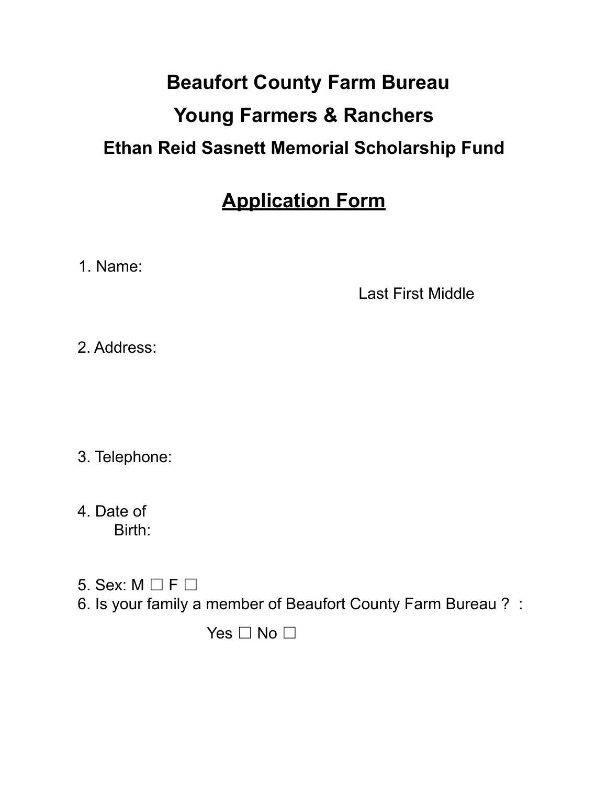## **Beaufort County Farm Bureau Young Farmers & Ranchers Ethan Reid Sasnett Memorial Scholarship Fund**

### **Application Form**

1. Name:

Last First Middle

2. Address:

3. Telephone:

4. Date of Birth:

- 5. Sex:  $M \square F \square$
- 6. Is your family a member of Beaufort County Farm Bureau ? :

Yes  $\Box$  No  $\Box$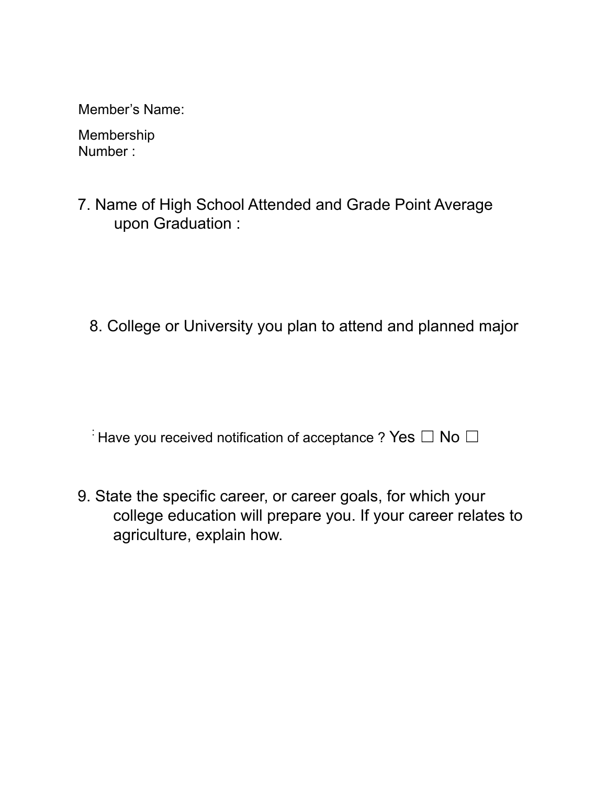Member's Name:

Membership Number :

7. Name of High School Attended and Grade Point Average upon Graduation :

8. College or University you plan to attend and planned major

 $\overline{a}$ : Have you received notification of acceptance ? Yes  $\Box$  No  $\Box$ 

9. State the specific career, or career goals, for which your college education will prepare you. If your career relates to agriculture, explain how.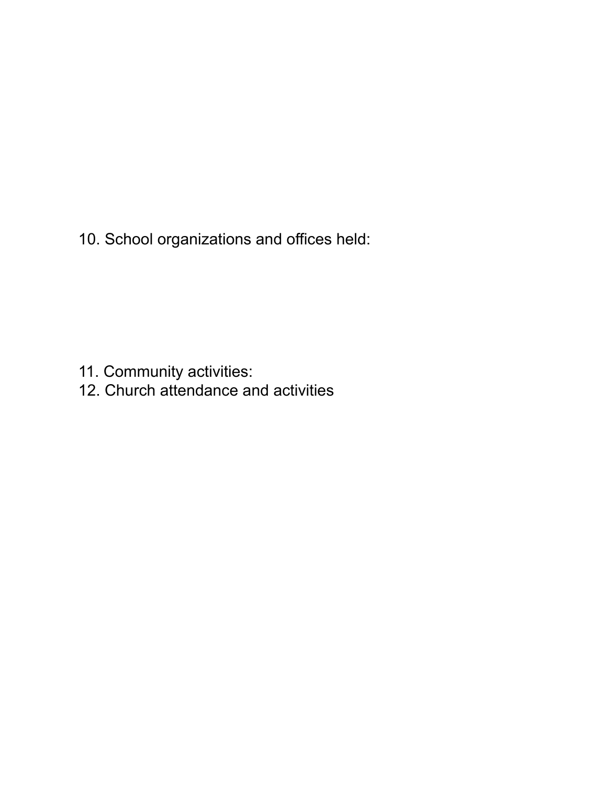10. School organizations and offices held:

- 11. Community activities:
- 12. Church attendance and activities